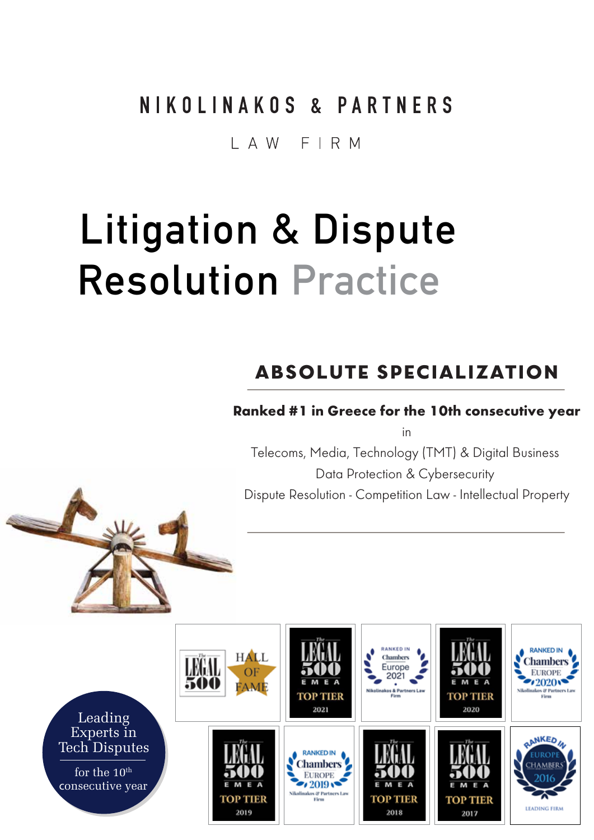### NIKOLINAKOS & PARTNERS

#### I A W F I R M

# Litigation & Dispute Resolution Practice

### **ABSOLUTE SPECIALIZATION**

#### **Ranked #1 in Greece for the 10th consecutive year**

in

Telecoms, Media, Technology (TMT) & Digital Business Data Protection & Cybersecurity Dispute Resolution - Competition Law - Intellectual Property

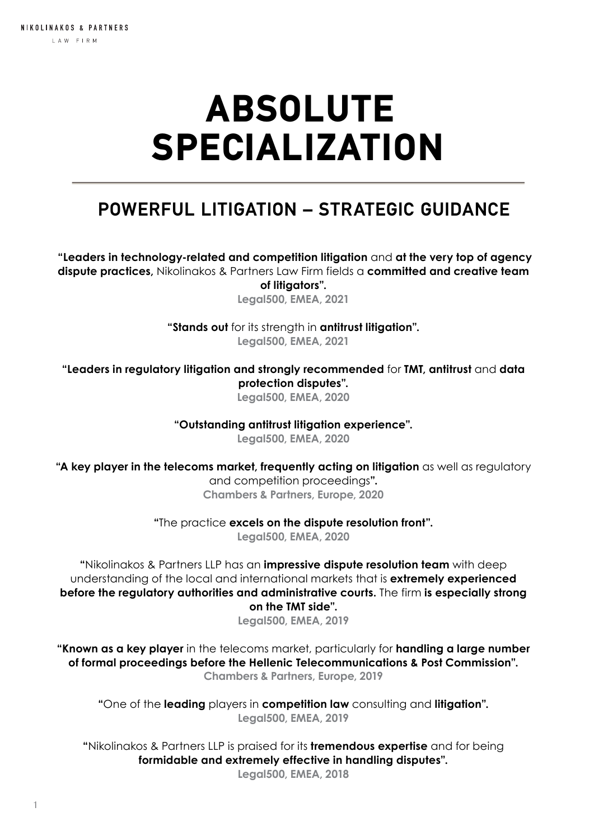## ABSOLUTE SPECIALIZATION

#### **POWERFUL LITIGATION – STRATEGIC GUIDANCE**

 **"Leaders in technology-related and competition litigation** and **at the very top of agency dispute practices,** Nikolinakos & Partners Law Firm fields a **committed and creative team of litigators".**

**Legal500, EMEA, 2021**

**"Stands out** for its strength in **antitrust litigation". Legal500, EMEA, 2021**

**"Leaders in regulatory litigation and strongly recommended** for **TMT, antitrust** and **data protection disputes".**

**Legal500, EMEA, 2020**

**"Outstanding antitrust litigation experience".**

**Legal500, EMEA, 2020**

**"A key player in the telecoms market, frequently acting on litigation** as well as regulatory and competition proceedings**". Chambers & Partners, Europe, 2020**

**"**The practice **excels on the dispute resolution front".**

**Legal500, EMEA, 2020**

**"**Nikolinakos & Partners LLP has an **impressive dispute resolution team** with deep understanding of the local and international markets that is **extremely experienced before the regulatory authorities and administrative courts.** The firm **is especially strong on the TMT side".**

**Legal500, EMEA, 2019**

**"Known as a key player** in the telecoms market, particularly for **handling a large number of formal proceedings before the Hellenic Telecommunications & Post Commission". Chambers & Partners, Europe, 2019**

**"**One of the **leading** players in **competition law** consulting and **litigation". Legal500, EMEA, 2019**

**"**Nikolinakos & Partners LLP is praised for its **tremendous expertise** and for being **formidable and extremely effective in handling disputes".**

**Legal500, EMEA, 2018**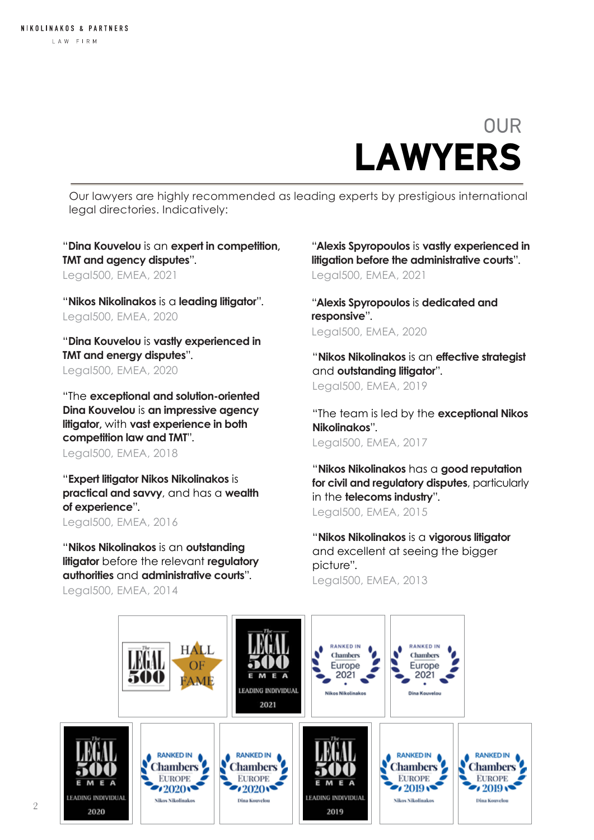### OUR LAWYERS

Our lawyers are highly recommended as leading experts by prestigious international legal directories. Indicatively:

"**Dina Kouvelou** is an **expert in competition, TMT and agency disputes**". Legal500, EMEA, 2021

"**Nikos Nikolinakos** is a **leading litigator**". Legal500, EMEA, 2020

"**Dina Kouvelou** is **vastly experienced in TMT and energy disputes**". Legal500, EMEA, 2020

"The **exceptional and solution-oriented Dina Kouvelou** is **an impressive agency litigator,** with **vast experience in both competition law and TMT**". Legal500, EMEA, 2018

"**Expert litigator Nikos Nikolinakos** is **practical and savvy**, and has a **wealth of experience**". Legal500, EMEA, 2016

"**Nikos Nikolinakos** is an **outstanding litigator** before the relevant **regulatory authorities** and **administrative courts**". Legal500, EMEA, 2014

"**Alexis Spyropoulos** is **vastly experienced in litigation before the administrative courts**". Legal500, EMEA, 2021

"**Alexis Spyropoulos** is **dedicated and responsive**". Legal500, EMEA, 2020

"**Nikos Nikolinakos** is an **effective strategist**  and **outstanding litigator**". Legal500, EMEA, 2019

"The team is led by the **exceptional Nikos Nikolinakos**". Legal500, EMEA, 2017

"**Nikos Nikolinakos** has a **good reputation for civil and regulatory disputes**, particularly in the **telecoms industry**". Legal500, EMEA, 2015

"**Nikos Nikolinakos** is a **vigorous litigator** and excellent at seeing the bigger picture". Legal500, EMEA, 2013

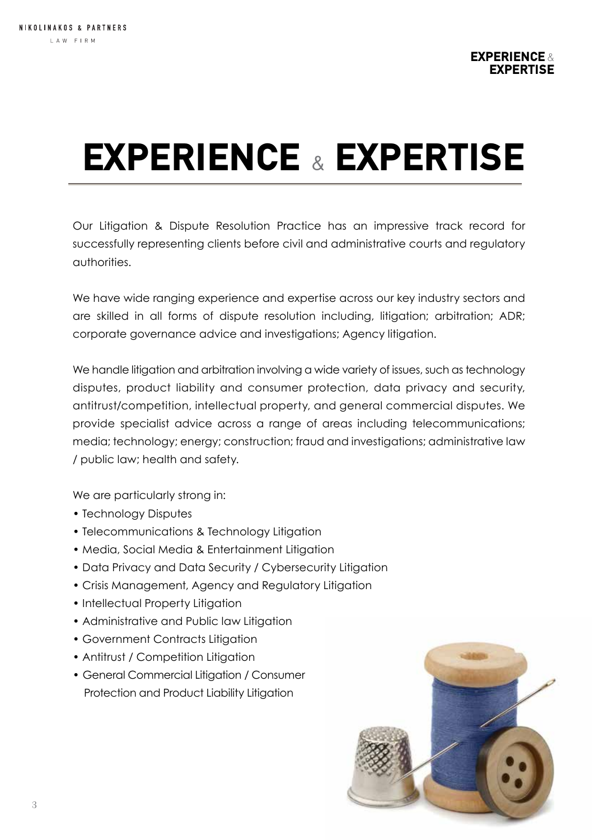# EXPERIENCE & EXPERTISE

Our Litigation & Dispute Resolution Practice has an impressive track record for successfully representing clients before civil and administrative courts and regulatory authorities.

We have wide ranging experience and expertise across our key industry sectors and are skilled in all forms of dispute resolution including, litigation; arbitration; ADR; corporate governance advice and investigations; Agency litigation.

We handle litigation and arbitration involving a wide variety of issues, such as technology disputes, product liability and consumer protection, data privacy and security, antitrust/competition, intellectual property, and general commercial disputes. We provide specialist advice across a range of areas including telecommunications; media; technology; energy; construction; fraud and investigations; administrative law / public law; health and safety.

We are particularly strong in:

- Technology Disputes
- Telecommunications & Technology Litigation
- Media, Social Media & Entertainment Litigation
- Data Privacy and Data Security / Cybersecurity Litigation
- Crisis Management, Agency and Regulatory Litigation
- Intellectual Property Litigation
- Administrative and Public law Litigation
- Government Contracts Litigation
- Antitrust / Competition Litigation
- General Commercial Litigation / Consumer Protection and Product Liability Litigation

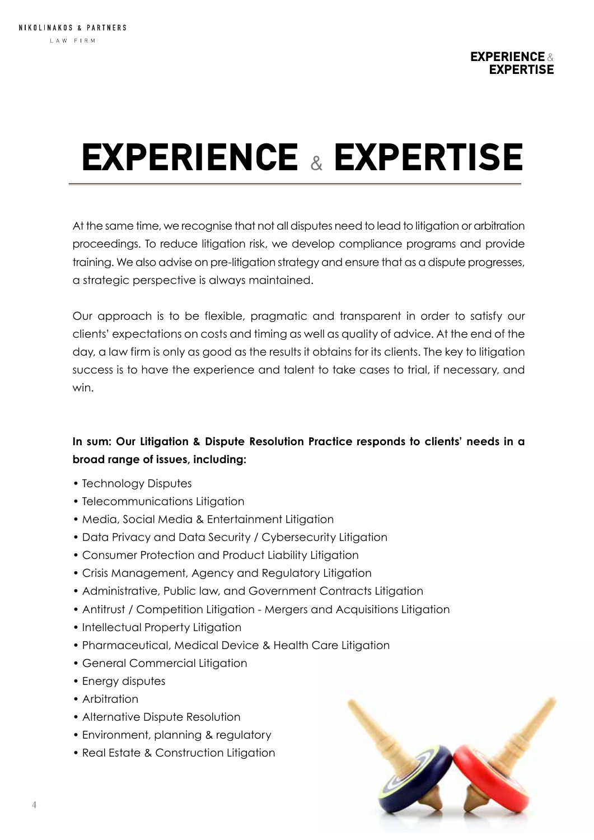# EXPERIENCE & EXPERTISE

At the same time, we recognise that not all disputes need to lead to litigation or arbitration proceedings. To reduce litigation risk, we develop compliance programs and provide training. We also advise on pre-litigation strategy and ensure that as a dispute progresses, a strategic perspective is always maintained.

Our approach is to be flexible, pragmatic and transparent in order to satisfy our clients' expectations on costs and timing as well as quality of advice. At the end of the day, a law firm is only as good as the results it obtains for its clients. The key to litigation success is to have the experience and talent to take cases to trial, if necessary, and win.

#### **In sum: Our Litigation & Dispute Resolution Practice responds to clients' needs in a broad range of issues, including:**

- Technology Disputes
- Telecommunications Litigation
- Media, Social Media & Entertainment Litigation
- Data Privacy and Data Security / Cybersecurity Litigation
- Consumer Protection and Product Liability Litigation
- Crisis Management, Agency and Regulatory Litigation
- Administrative, Public law, and Government Contracts Litigation
- Antitrust / Competition Litigation Mergers and Acquisitions Litigation
- Intellectual Property Litigation
- Pharmaceutical, Medical Device & Health Care Litigation
- General Commercial Litigation
- Energy disputes
- Arbitration
- Alternative Dispute Resolution
- Environment, planning & regulatory
- Real Estate & Construction Litigation

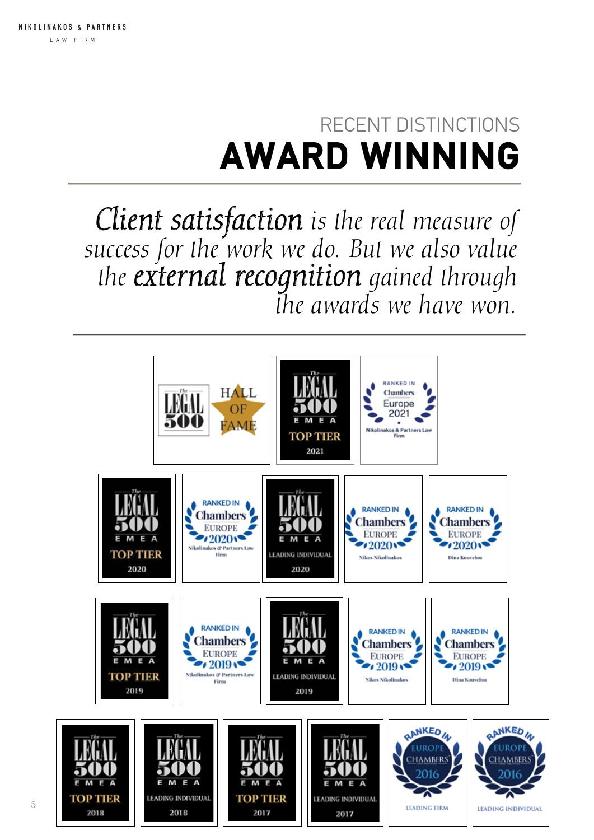## RECENT DISTINCTIONS AWARD WINNING

*Client satisfaction is the real measure of success for the work we do. But we also value the external recognition gained through the awards we have won.*

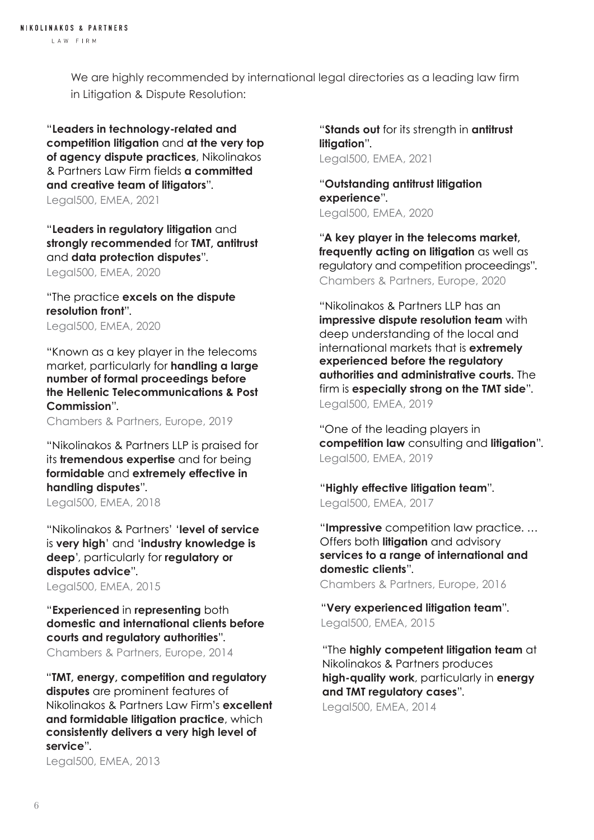We are highly recommended by international legal directories as a leading law firm in Litigation & Dispute Resolution:

"**Leaders in technology-related and competition litigation** and **at the very top of agency dispute practices**, Nikolinakos & Partners Law Firm fields **a committed and creative team of litigators**". Legal500, EMEA, 2021

"**Leaders in regulatory litigation** and **strongly recommended** for **TMT, antitrust**  and **data protection disputes**".

Legal500, EMEA, 2020

"The practice **excels on the dispute resolution front**". Legal500, EMEA, 2020

"Known as a key player in the telecoms market, particularly for **handling a large number of formal proceedings before the Hellenic Telecommunications & Post Commission**".

Chambers & Partners, Europe, 2019

"Nikolinakos & Partners LLP is praised for its **tremendous expertise** and for being **formidable** and **extremely effective in handling disputes**". Legal500, EMEA, 2018

"Nikolinakos & Partners' '**level of service** is **very high**' and '**industry knowledge is deep**', particularly for **regulatory or disputes advice**".

Legal500, EMEA, 2015

"**Experienced** in **representing** both **domestic and international clients before courts and regulatory authorities**".

"**TMT, energy, competition and regulatory disputes** are prominent features of Nikolinakos & Partners Law Firm's **excellent and formidable litigation practice**, which **consistently delivers a very high level of service**".

Legal500, EMEA, 2013

"**Stands out** for its strength in **antitrust litigation**". Legal500, EMEA, 2021

"**Outstanding antitrust litigation experience**". Legal500, EMEA, 2020

"**A key player in the telecoms market, frequently acting on litigation** as well as regulatory and competition proceedings". Chambers & Partners, Europe, 2020

"Nikolinakos & Partners LLP has an **impressive dispute resolution team** with deep understanding of the local and international markets that is **extremely experienced before the regulatory authorities and administrative courts.** The firm is **especially strong on the TMT side**". Legal500, EMEA, 2019

"One of the leading players in **competition law** consulting and **litigation**". Legal500, EMEA, 2019

"**Highly effective litigation team**". Legal500, EMEA, 2017

"**Impressive** competition law practice. … Offers both **litigation** and advisory **services to a range of international and domestic clients**".

Chambers & Partners, Europe, 2016

"**Very experienced litigation team**". Legal500, EMEA, 2015

Chambers & Partners, Europe, 2014 "The **highly competent litigation team** at Nikolinakos & Partners produces **high-quality work**, particularly in **energy and TMT regulatory cases**". Legal500, EMEA, 2014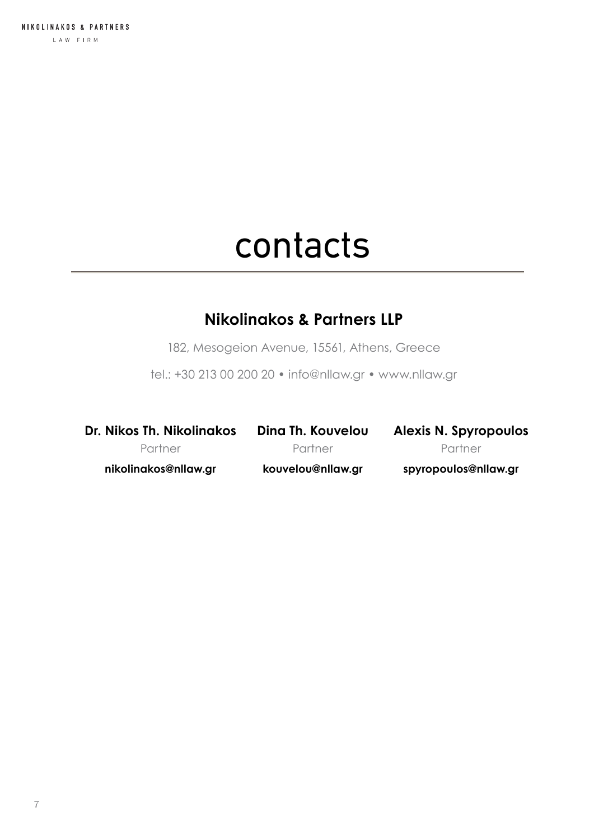## contacts

#### **Nikolinakos & Partners LLP**

182, Mesogeion Avenue, 15561, Athens, Greece

tel.: +30 213 00 200 20 • info@nllaw.gr • www.nllaw.gr

**Dr. Nikos Th. Nikolinakos** Partner **nikolinakos@nllaw.gr**

**Dina Th. Kouvelou Partner kouvelou@nllaw.gr**

**Alexis N. Spyropoulos** Partner **spyropoulos@nllaw.gr**

7